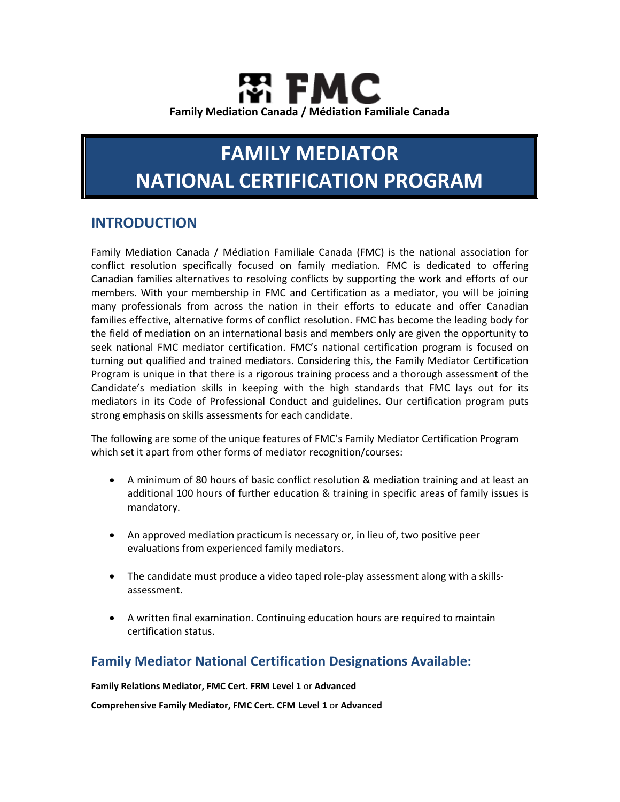# FMC **Family Mediation Canada / Médiation Familiale Canada**

# **FAMILY MEDIATOR NATIONAL CERTIFICATION PROGRAM**

## **INTRODUCTION**

Family Mediation Canada / Médiation Familiale Canada (FMC) is the national association for conflict resolution specifically focused on family mediation. FMC is dedicated to offering Canadian families alternatives to resolving conflicts by supporting the work and efforts of our members. With your membership in FMC and Certification as a mediator, you will be joining many professionals from across the nation in their efforts to educate and offer Canadian families effective, alternative forms of conflict resolution. FMC has become the leading body for the field of mediation on an international basis and members only are given the opportunity to seek national FMC mediator certification. FMC's national certification program is focused on turning out qualified and trained mediators. Considering this, the Family Mediator Certification Program is unique in that there is a rigorous training process and a thorough assessment of the Candidate's mediation skills in keeping with the high standards that FMC lays out for its mediators in its Code of Professional Conduct and guidelines. Our certification program puts strong emphasis on skills assessments for each candidate.

The following are some of the unique features of FMC's Family Mediator Certification Program which set it apart from other forms of mediator recognition/courses:

- A minimum of 80 hours of basic conflict resolution & mediation training and at least an additional 100 hours of further education & training in specific areas of family issues is mandatory.
- An approved mediation practicum is necessary or, in lieu of, two positive peer evaluations from experienced family mediators.
- The candidate must produce a video taped role-play assessment along with a skillsassessment.
- A written final examination. Continuing education hours are required to maintain certification status.

### **Family Mediator National Certification Designations Available:**

**Family Relations Mediator, FMC Cert. FRM Level 1** or **Advanced**

**Comprehensive Family Mediator, FMC Cert. CFM Level 1** o**r Advanced**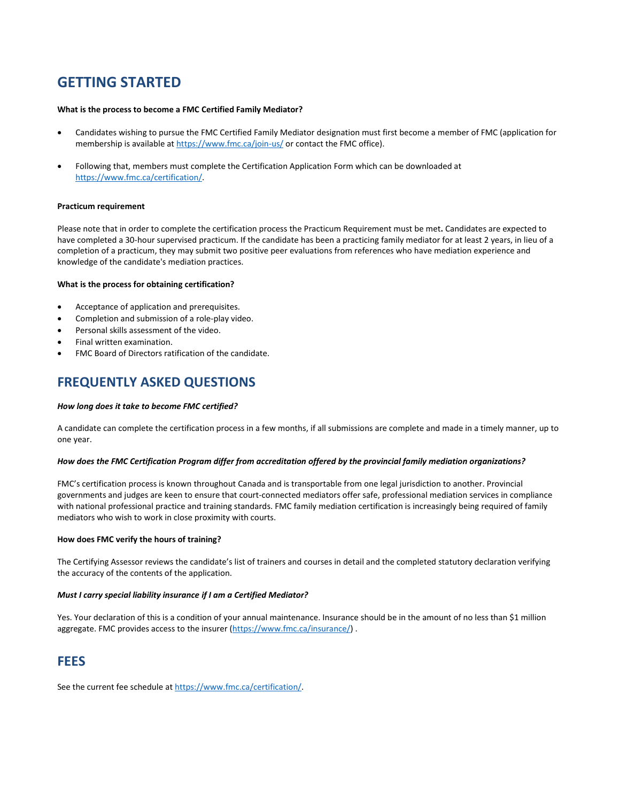## **GETTING STARTED**

#### **What is the process to become a FMC Certified Family Mediator?**

- Candidates wishing to pursue the FMC Certified Family Mediator designation must first become a member of FMC (application for membership is available at <https://www.fmc.ca/join-us/> or contact the FMC office).
- Following that, members must complete the Certification Application Form which can be downloaded at [https://www.fmc.ca/certification/.](https://www.fmc.ca/certification/)

#### **Practicum requirement**

Please note that in order to complete the certification process the Practicum Requirement must be met**.** Candidates are expected to have completed a 30-hour supervised practicum. If the candidate has been a practicing family mediator for at least 2 years, in lieu of a completion of a practicum, they may submit two positive peer evaluations from references who have mediation experience and knowledge of the candidate's mediation practices.

#### **What is the process for obtaining certification?**

- Acceptance of application and prerequisites.
- Completion and submission of a role-play video.
- Personal skills assessment of the video.
- Final written examination.
- FMC Board of Directors ratification of the candidate.

### **FREQUENTLY ASKED QUESTIONS**

#### *How long does it take to become FMC certified?*

A candidate can complete the certification process in a few months, if all submissions are complete and made in a timely manner, up to one year.

#### *How does the FMC Certification Program differ from accreditation offered by the provincial family mediation organizations?*

FMC's certification process is known throughout Canada and is transportable from one legal jurisdiction to another. Provincial governments and judges are keen to ensure that court-connected mediators offer safe, professional mediation services in compliance with national professional practice and training standards. FMC family mediation certification is increasingly being required of family mediators who wish to work in close proximity with courts.

#### **How does FMC verify the hours of training?**

The Certifying Assessor reviews the candidate's list of trainers and courses in detail and the completed statutory declaration verifying the accuracy of the contents of the application.

#### *Must I carry special liability insurance if I am a Certified Mediator?*

Yes. Your declaration of this is a condition of your annual maintenance. Insurance should be in the amount of no less than \$1 million aggregate. FMC provides access to the insurer [\(https://www.fmc.ca/insurance/\)](https://www.fmc.ca/insurance/).

### **FEES**

See the current fee schedule at [https://www.fmc.ca/certification/.](https://www.fmc.ca/certification/)